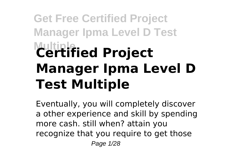# **Get Free Certified Project Manager Ipma Level D Test Multiple Certified Project Manager Ipma Level D Test Multiple**

Eventually, you will completely discover a other experience and skill by spending more cash. still when? attain you recognize that you require to get those Page 1/28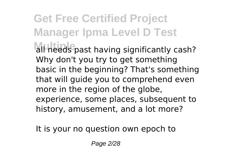## **Get Free Certified Project Manager Ipma Level D Test** all needs past having significantly cash? Why don't you try to get something basic in the beginning? That's something that will guide you to comprehend even more in the region of the globe, experience, some places, subsequent to history, amusement, and a lot more?

It is your no question own epoch to

Page 2/28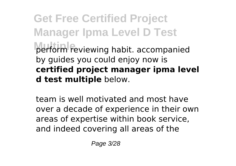**Get Free Certified Project Manager Ipma Level D Test Multiple** perform reviewing habit. accompanied by guides you could enjoy now is **certified project manager ipma level d test multiple** below.

team is well motivated and most have over a decade of experience in their own areas of expertise within book service, and indeed covering all areas of the

Page 3/28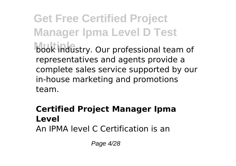**Get Free Certified Project Manager Ipma Level D Test** book industry. Our professional team of representatives and agents provide a complete sales service supported by our in-house marketing and promotions team.

#### **Certified Project Manager Ipma Level** An IPMA level C Certification is an

Page 4/28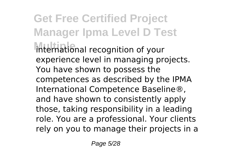**Get Free Certified Project Manager Ipma Level D Test Multiple** international recognition of your experience level in managing projects. You have shown to possess the competences as described by the IPMA International Competence Baseline®, and have shown to consistently apply those, taking responsibility in a leading role. You are a professional. Your clients rely on you to manage their projects in a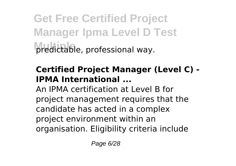**Get Free Certified Project Manager Ipma Level D Test** predictable, professional way.

#### **Certified Project Manager (Level C) - IPMA International ...**

An IPMA certification at Level B for project management requires that the candidate has acted in a complex project environment within an organisation. Eligibility criteria include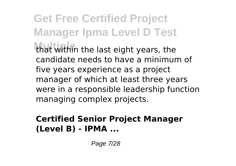**Get Free Certified Project Manager Ipma Level D Test** that within the last eight years, the candidate needs to have a minimum of five years experience as a project manager of which at least three years were in a responsible leadership function managing complex projects.

#### **Certified Senior Project Manager (Level B) - IPMA ...**

Page 7/28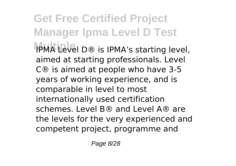**Get Free Certified Project Manager Ipma Level D Test IPMA Level D® is IPMA's starting level,** aimed at starting professionals. Level C® is aimed at people who have 3-5 years of working experience, and is comparable in level to most internationally used certification schemes. Level B® and Level A® are the levels for the very experienced and competent project, programme and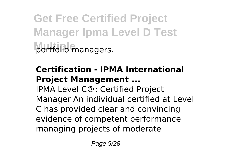**Get Free Certified Project Manager Ipma Level D Test Multiple** portfolio managers.

#### **Certification - IPMA International Project Management ...** IPMA Level C®: Certified Project Manager An individual certified at Level C has provided clear and convincing evidence of competent performance managing projects of moderate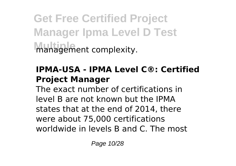**Get Free Certified Project Manager Ipma Level D Test Management complexity.** 

#### **IPMA-USA - IPMA Level C®: Certified Project Manager**

The exact number of certifications in level B are not known but the IPMA states that at the end of 2014, there were about 75,000 certifications worldwide in levels B and C. The most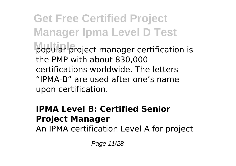**Get Free Certified Project Manager Ipma Level D Test** popular project manager certification is the PMP with about 830,000 certifications worldwide. The letters "IPMA-B" are used after one's name upon certification.

#### **IPMA Level B: Certified Senior Project Manager**

An IPMA certification Level A for project

Page 11/28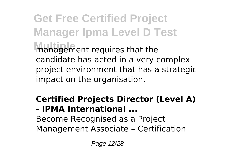**Get Free Certified Project Manager Ipma Level D Test Multiple** management requires that the candidate has acted in a very complex project environment that has a strategic impact on the organisation.

#### **Certified Projects Director (Level A) - IPMA International ...** Become Recognised as a Project Management Associate – Certification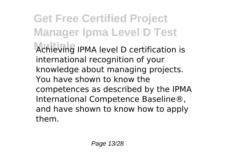**Get Free Certified Project Manager Ipma Level D Test Multiple** Achieving IPMA level D certification is international recognition of your knowledge about managing projects. You have shown to know the competences as described by the IPMA International Competence Baseline®, and have shown to know how to apply them.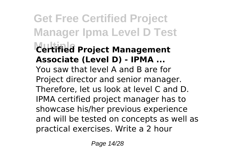**Get Free Certified Project Manager Ipma Level D Test Multiple Certified Project Management Associate (Level D) - IPMA ...** You saw that level A and B are for Project director and senior manager. Therefore, let us look at level C and D. IPMA certified project manager has to showcase his/her previous experience and will be tested on concepts as well as practical exercises. Write a 2 hour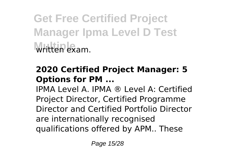**Get Free Certified Project Manager Ipma Level D Test Multiple** written exam.

#### **2020 Certified Project Manager: 5 Options for PM ...**

IPMA Level A. IPMA ® Level A: Certified Project Director, Certified Programme Director and Certified Portfolio Director are internationally recognised qualifications offered by APM.. These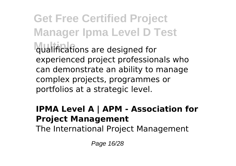**Get Free Certified Project Manager Ipma Level D Test** qualifications are designed for experienced project professionals who can demonstrate an ability to manage complex projects, programmes or portfolios at a strategic level.

#### **IPMA Level A | APM - Association for Project Management**

The International Project Management

Page 16/28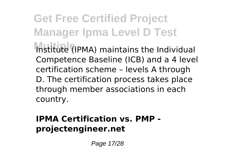**Get Free Certified Project Manager Ipma Level D Test** Institute (IPMA) maintains the Individual Competence Baseline (ICB) and a 4 level certification scheme – levels A through D. The certification process takes place through member associations in each country.

#### **IPMA Certification vs. PMP projectengineer.net**

Page 17/28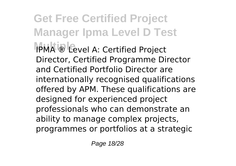**Get Free Certified Project Manager Ipma Level D Test Multiple** IPMA ® Level A: Certified Project Director, Certified Programme Director and Certified Portfolio Director are internationally recognised qualifications offered by APM. These qualifications are designed for experienced project professionals who can demonstrate an ability to manage complex projects, programmes or portfolios at a strategic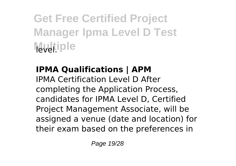**Get Free Certified Project Manager Ipma Level D Test Multiple** 

## **IPMA Qualifications | APM**

IPMA Certification Level D After completing the Application Process, candidates for IPMA Level D, Certified Project Management Associate, will be assigned a venue (date and location) for their exam based on the preferences in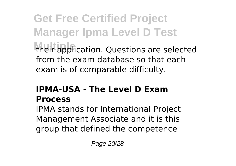**Get Free Certified Project Manager Ipma Level D Test** their application. Questions are selected from the exam database so that each exam is of comparable difficulty.

#### **IPMA-USA - The Level D Exam Process**

IPMA stands for International Project Management Associate and it is this group that defined the competence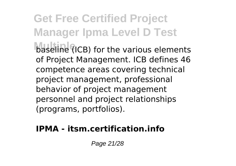**Get Free Certified Project Manager Ipma Level D Test** baseline (ICB) for the various elements of Project Management. ICB defines 46 competence areas covering technical project management, professional behavior of project management personnel and project relationships (programs, portfolios).

#### **IPMA - itsm.certification.info**

Page 21/28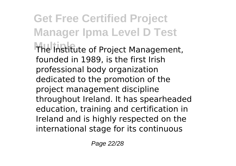### **Get Free Certified Project Manager Ipma Level D Test** The Institute of Project Management, founded in 1989, is the first Irish professional body organization dedicated to the promotion of the project management discipline throughout Ireland. It has spearheaded education, training and certification in Ireland and is highly respected on the

international stage for its continuous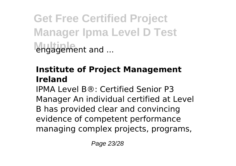**Get Free Certified Project Manager Ipma Level D Test engagement and ...** 

#### **Institute of Project Management Ireland**

IPMA Level B®: Certified Senior P3 Manager An individual certified at Level B has provided clear and convincing evidence of competent performance managing complex projects, programs,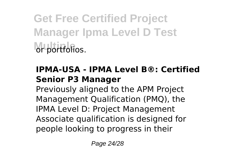**Get Free Certified Project Manager Ipma Level D Test** or portfolios.

#### **IPMA-USA - IPMA Level B®: Certified Senior P3 Manager**

Previously aligned to the APM Project Management Qualification (PMQ), the IPMA Level D: Project Management Associate qualification is designed for people looking to progress in their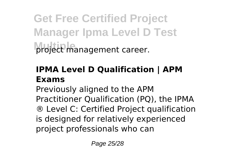**Get Free Certified Project Manager Ipma Level D Test** project management career.

#### **IPMA Level D Qualification | APM Exams**

Previously aligned to the APM Practitioner Qualification (PQ), the IPMA ® Level C: Certified Project qualification is designed for relatively experienced project professionals who can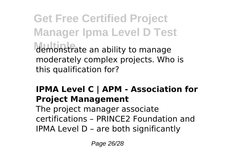**Get Free Certified Project Manager Ipma Level D Test Multiple** demonstrate an ability to manage moderately complex projects. Who is this qualification for?

#### **IPMA Level C | APM - Association for Project Management**

The project manager associate certifications – PRINCE2 Foundation and IPMA Level D – are both significantly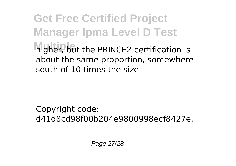**Get Free Certified Project Manager Ipma Level D Test higher, but the PRINCE2 certification is** about the same proportion, somewhere south of 10 times the size.

Copyright code: d41d8cd98f00b204e9800998ecf8427e.

Page 27/28